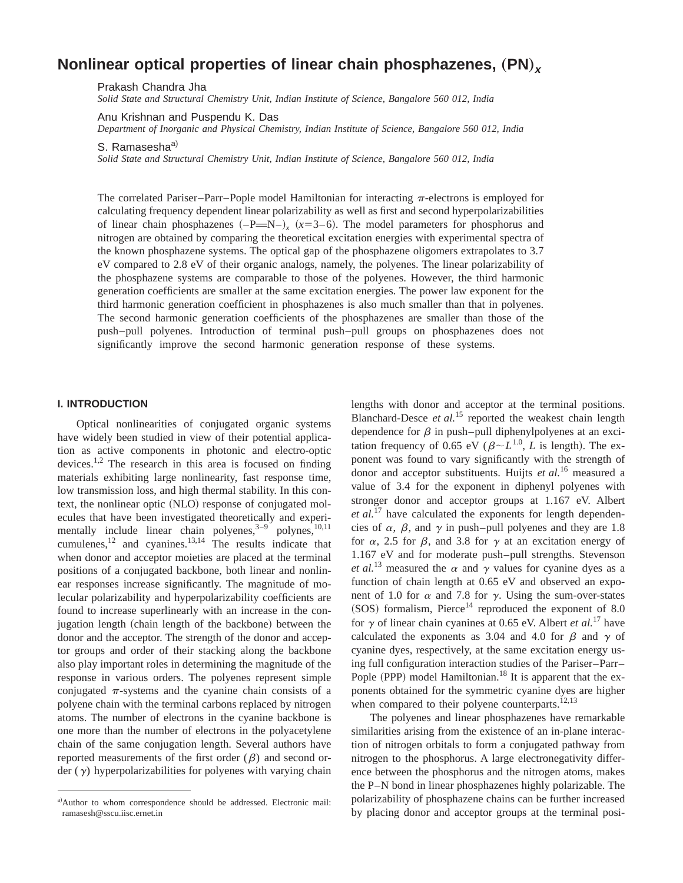# **Nonlinear optical properties of linear chain phosphazenes,**  $(PN)_x$

Prakash Chandra Jha

*Solid State and Structural Chemistry Unit, Indian Institute of Science, Bangalore 560 012, India*

Anu Krishnan and Puspendu K. Das

*Department of Inorganic and Physical Chemistry, Indian Institute of Science, Bangalore 560 012, India*

S. Ramasesha<sup>a)</sup>

*Solid State and Structural Chemistry Unit, Indian Institute of Science, Bangalore 560 012, India*

The correlated Pariser–Parr–Pople model Hamiltonian for interacting  $\pi$ -electrons is employed for calculating frequency dependent linear polarizability as well as first and second hyperpolarizabilities of linear chain phosphazenes  $(-P=N-)$ <sub>x</sub>  $(x=3-6)$ . The model parameters for phosphorus and nitrogen are obtained by comparing the theoretical excitation energies with experimental spectra of the known phosphazene systems. The optical gap of the phosphazene oligomers extrapolates to 3.7 eV compared to 2.8 eV of their organic analogs, namely, the polyenes. The linear polarizability of the phosphazene systems are comparable to those of the polyenes. However, the third harmonic generation coefficients are smaller at the same excitation energies. The power law exponent for the third harmonic generation coefficient in phosphazenes is also much smaller than that in polyenes. The second harmonic generation coefficients of the phosphazenes are smaller than those of the push–pull polyenes. Introduction of terminal push–pull groups on phosphazenes does not significantly improve the second harmonic generation response of these systems.

# **I. INTRODUCTION**

Optical nonlinearities of conjugated organic systems have widely been studied in view of their potential application as active components in photonic and electro-optic devices.<sup>1,2</sup> The research in this area is focused on finding materials exhibiting large nonlinearity, fast response time, low transmission loss, and high thermal stability. In this context, the nonlinear optic (NLO) response of conjugated molecules that have been investigated theoretically and experimentally include linear chain polyenes, $3-9$  polynes, $10,11$ cumulenes, $^{12}$  and cyanines. $^{13,14}$  The results indicate that when donor and acceptor moieties are placed at the terminal positions of a conjugated backbone, both linear and nonlinear responses increase significantly. The magnitude of molecular polarizability and hyperpolarizability coefficients are found to increase superlinearly with an increase in the conjugation length (chain length of the backbone) between the donor and the acceptor. The strength of the donor and acceptor groups and order of their stacking along the backbone also play important roles in determining the magnitude of the response in various orders. The polyenes represent simple conjugated  $\pi$ -systems and the cyanine chain consists of a polyene chain with the terminal carbons replaced by nitrogen atoms. The number of electrons in the cyanine backbone is one more than the number of electrons in the polyacetylene chain of the same conjugation length. Several authors have reported measurements of the first order  $(\beta)$  and second order  $(y)$  hyperpolarizabilities for polyenes with varying chain

lengths with donor and acceptor at the terminal positions. Blanchard-Desce *et al.*<sup>15</sup> reported the weakest chain length dependence for  $\beta$  in push–pull diphenylpolyenes at an excitation frequency of 0.65 eV ( $\beta \sim L^{1.0}$ , *L* is length). The exponent was found to vary significantly with the strength of donor and acceptor substituents. Huijts *et al.*<sup>16</sup> measured a value of 3.4 for the exponent in diphenyl polyenes with stronger donor and acceptor groups at 1.167 eV. Albert *et al.*<sup>17</sup> have calculated the exponents for length dependencies of  $\alpha$ ,  $\beta$ , and  $\gamma$  in push–pull polyenes and they are 1.8 for  $\alpha$ , 2.5 for  $\beta$ , and 3.8 for  $\gamma$  at an excitation energy of 1.167 eV and for moderate push–pull strengths. Stevenson *et al.*<sup>13</sup> measured the  $\alpha$  and  $\gamma$  values for cyanine dyes as a function of chain length at 0.65 eV and observed an exponent of 1.0 for  $\alpha$  and 7.8 for  $\gamma$ . Using the sum-over-states  $(SOS)$  formalism, Pierce<sup>14</sup> reproduced the exponent of 8.0 for  $\gamma$  of linear chain cyanines at 0.65 eV. Albert *et al.*<sup>17</sup> have calculated the exponents as 3.04 and 4.0 for  $\beta$  and  $\gamma$  of cyanine dyes, respectively, at the same excitation energy using full configuration interaction studies of the Pariser–Parr– Pople (PPP) model Hamiltonian.<sup>18</sup> It is apparent that the exponents obtained for the symmetric cyanine dyes are higher when compared to their polyene counterparts. $12,13$ 

The polyenes and linear phosphazenes have remarkable similarities arising from the existence of an in-plane interaction of nitrogen orbitals to form a conjugated pathway from nitrogen to the phosphorus. A large electronegativity difference between the phosphorus and the nitrogen atoms, makes the P–N bond in linear phosphazenes highly polarizable. The polarizability of phosphazene chains can be further increased by placing donor and acceptor groups at the terminal posi-

a)Author to whom correspondence should be addressed. Electronic mail: ramasesh@sscu.iisc.ernet.in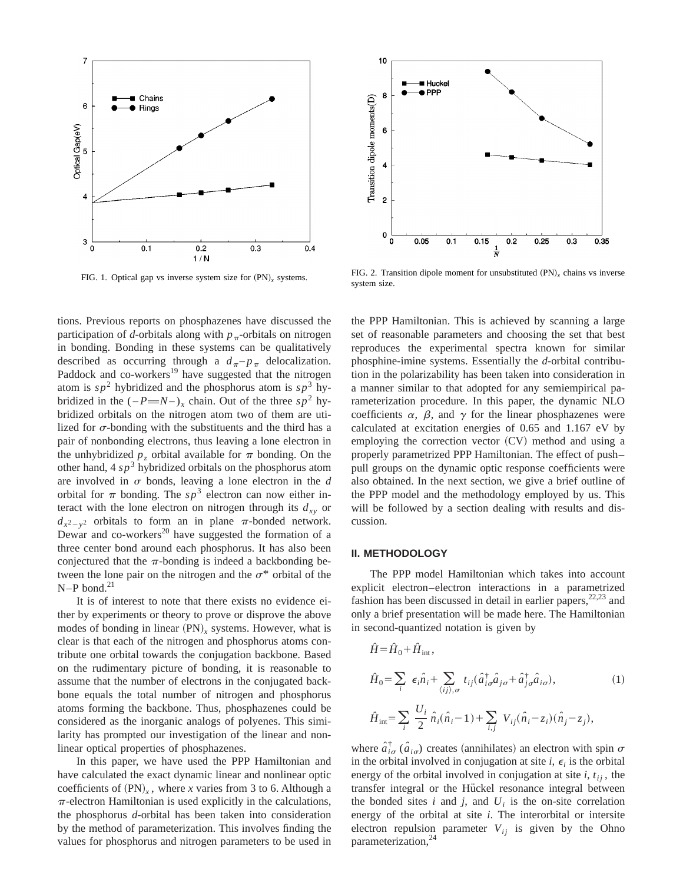

tions. Previous reports on phosphazenes have discussed the participation of *d*-orbitals along with  $p_{\pi}$ -orbitals on nitrogen in bonding. Bonding in these systems can be qualitatively described as occurring through a  $d_{\pi}$ – $p_{\pi}$  delocalization. Paddock and co-workers<sup>19</sup> have suggested that the nitrogen atom is  $sp^2$  hybridized and the phosphorus atom is  $sp^3$  hybridized in the  $(-P = N)$ , chain. Out of the three  $sp^2$  hybridized orbitals on the nitrogen atom two of them are utilized for  $\sigma$ -bonding with the substituents and the third has a pair of nonbonding electrons, thus leaving a lone electron in the unhybridized  $p_z$  orbital available for  $\pi$  bonding. On the other hand,  $4 s p<sup>3</sup>$  hybridized orbitals on the phosphorus atom are involved in  $\sigma$  bonds, leaving a lone electron in the  $d$ orbital for  $\pi$  bonding. The  $sp^3$  electron can now either interact with the lone electron on nitrogen through its  $d_{xy}$  or  $d_{x^2-y^2}$  orbitals to form an in plane  $\pi$ -bonded network. Dewar and co-workers<sup>20</sup> have suggested the formation of a three center bond around each phosphorus. It has also been conjectured that the  $\pi$ -bonding is indeed a backbonding between the lone pair on the nitrogen and the  $\sigma^*$  orbital of the  $N-P$  bond.<sup>21</sup>

It is of interest to note that there exists no evidence either by experiments or theory to prove or disprove the above modes of bonding in linear (PN)<sub>x</sub> systems. However, what is clear is that each of the nitrogen and phosphorus atoms contribute one orbital towards the conjugation backbone. Based on the rudimentary picture of bonding, it is reasonable to assume that the number of electrons in the conjugated backbone equals the total number of nitrogen and phosphorus atoms forming the backbone. Thus, phosphazenes could be considered as the inorganic analogs of polyenes. This similarity has prompted our investigation of the linear and nonlinear optical properties of phosphazenes.

In this paper, we have used the PPP Hamiltonian and have calculated the exact dynamic linear and nonlinear optic coefficients of  $(PN)_r$ , where *x* varies from 3 to 6. Although a  $\pi$ -electron Hamiltonian is used explicitly in the calculations, the phosphorus *d*-orbital has been taken into consideration by the method of parameterization. This involves finding the values for phosphorus and nitrogen parameters to be used in



FIG. 1. Optical gap vs inverse system size for  $(PN)_x$  systems. FIG. 2. Transition dipole moment for unsubstituted  $(PN)_x$  chains vs inverse system size.

the PPP Hamiltonian. This is achieved by scanning a large set of reasonable parameters and choosing the set that best reproduces the experimental spectra known for similar phosphine-imine systems. Essentially the *d*-orbital contribution in the polarizability has been taken into consideration in a manner similar to that adopted for any semiempirical parameterization procedure. In this paper, the dynamic NLO coefficients  $\alpha$ ,  $\beta$ , and  $\gamma$  for the linear phosphazenes were calculated at excitation energies of 0.65 and 1.167 eV by employing the correction vector  $(CV)$  method and using a properly parametrized PPP Hamiltonian. The effect of push– pull groups on the dynamic optic response coefficients were also obtained. In the next section, we give a brief outline of the PPP model and the methodology employed by us. This will be followed by a section dealing with results and discussion.

## **II. METHODOLOGY**

The PPP model Hamiltonian which takes into account explicit electron–electron interactions in a parametrized fashion has been discussed in detail in earlier papers,  $22,23$  and only a brief presentation will be made here. The Hamiltonian in second-quantized notation is given by

$$
\hat{H} = \hat{H}_0 + \hat{H}_{\text{int}},
$$
\n
$$
\hat{H}_0 = \sum_i \epsilon_i \hat{n}_i + \sum_{\langle ij \rangle, \sigma} t_{ij} (\hat{a}_{i\sigma}^\dagger \hat{a}_{j\sigma} + \hat{a}_{j\sigma}^\dagger \hat{a}_{i\sigma}),
$$
\n
$$
\hat{H}_{\text{int}} = \sum_i \frac{U_i}{2} \hat{n}_i (\hat{n}_i - 1) + \sum_{i,j} V_{ij} (\hat{n}_i - z_i) (\hat{n}_j - z_j),
$$
\n(1)

where  $\hat{a}^{\dagger}_{i\sigma}$  ( $\hat{a}_{i\sigma}$ ) creates (annihilates) an electron with spin  $\sigma$ in the orbital involved in conjugation at site  $i$ ,  $\epsilon$ <sub>i</sub> is the orbital energy of the orbital involved in conjugation at site  $i, t_{ij}$ , the transfer integral or the Hückel resonance integral between the bonded sites  $i$  and  $j$ , and  $U_i$  is the on-site correlation energy of the orbital at site *i*. The interorbital or intersite electron repulsion parameter  $V_{ij}$  is given by the Ohno parameterization,<sup>24</sup>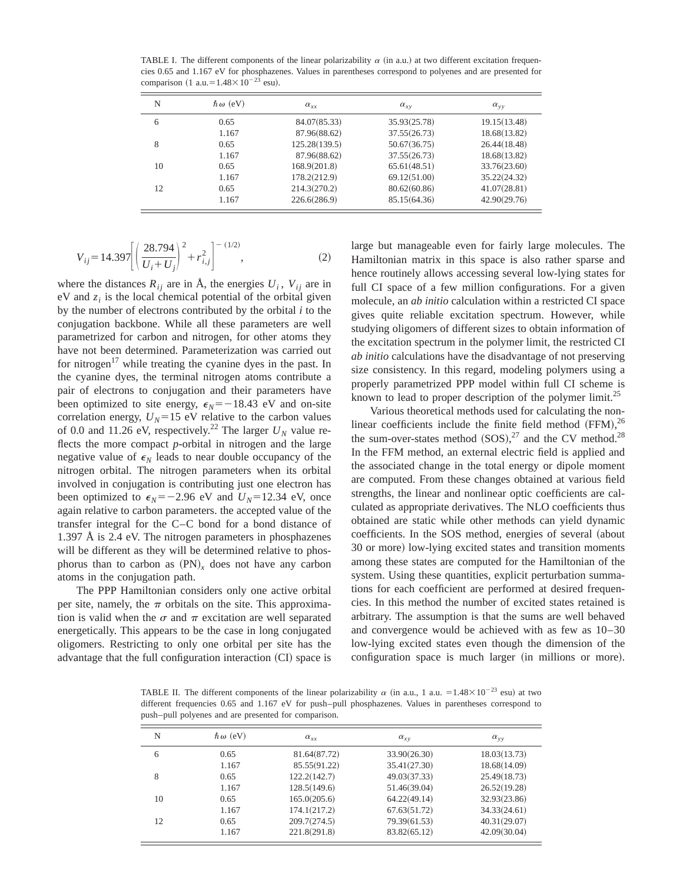TABLE I. The different components of the linear polarizability  $\alpha$  (in a.u.) at two different excitation frequencies 0.65 and 1.167 eV for phosphazenes. Values in parentheses correspond to polyenes and are presented for comparison (1 a.u. =  $1.48 \times 10^{-23}$  esu).

| N  | $\hbar \omega$ (eV) | $\alpha_{xx}$ | $\alpha_{xy}$ | $\alpha_{vv}$ |
|----|---------------------|---------------|---------------|---------------|
| 6  | 0.65                | 84.07(85.33)  | 35.93(25.78)  | 19.15(13.48)  |
|    | 1.167               | 87.96(88.62)  | 37.55(26.73)  | 18.68(13.82)  |
| 8  | 0.65                | 125.28(139.5) | 50.67(36.75)  | 26.44(18.48)  |
|    | 1.167               | 87.96(88.62)  | 37.55(26.73)  | 18.68(13.82)  |
| 10 | 0.65                | 168.9(201.8)  | 65.61(48.51)  | 33.76(23.60)  |
|    | 1.167               | 178.2(212.9)  | 69.12(51.00)  | 35.22(24.32)  |
| 12 | 0.65                | 214.3(270.2)  | 80.62(60.86)  | 41.07(28.81)  |
|    | 1.167               | 226.6(286.9)  | 85.15(64.36)  | 42.90(29.76)  |

$$
V_{ij} = 14.397 \left[ \left( \frac{28.794}{U_i + U_j} \right)^2 + r_{i,j}^2 \right]^{-(1/2)},
$$
 (2)

where the distances  $R_{ij}$  are in  $\dot{A}$ , the energies  $U_i$ ,  $V_{ij}$  are in  $eV$  and  $z_i$  is the local chemical potential of the orbital given by the number of electrons contributed by the orbital *i* to the conjugation backbone. While all these parameters are well parametrized for carbon and nitrogen, for other atoms they have not been determined. Parameterization was carried out for nitrogen<sup>17</sup> while treating the cyanine dyes in the past. In the cyanine dyes, the terminal nitrogen atoms contribute a pair of electrons to conjugation and their parameters have been optimized to site energy,  $\epsilon_N = -18.43$  eV and on-site correlation energy,  $U_N$ =15 eV relative to the carbon values of 0.0 and 11.26 eV, respectively.<sup>22</sup> The larger  $U_N$  value reflects the more compact *p*-orbital in nitrogen and the large negative value of  $\epsilon_N$  leads to near double occupancy of the nitrogen orbital. The nitrogen parameters when its orbital involved in conjugation is contributing just one electron has been optimized to  $\epsilon_N = -2.96$  eV and  $U_N = 12.34$  eV, once again relative to carbon parameters. the accepted value of the transfer integral for the C–C bond for a bond distance of 1.397 Å is 2.4 eV. The nitrogen parameters in phosphazenes will be different as they will be determined relative to phosphorus than to carbon as  $(PN)_x$  does not have any carbon atoms in the conjugation path.

The PPP Hamiltonian considers only one active orbital per site, namely, the  $\pi$  orbitals on the site. This approximation is valid when the  $\sigma$  and  $\pi$  excitation are well separated energetically. This appears to be the case in long conjugated oligomers. Restricting to only one orbital per site has the advantage that the full configuration interaction  $(CI)$  space is large but manageable even for fairly large molecules. The Hamiltonian matrix in this space is also rather sparse and hence routinely allows accessing several low-lying states for full CI space of a few million configurations. For a given molecule, an *ab initio* calculation within a restricted CI space gives quite reliable excitation spectrum. However, while studying oligomers of different sizes to obtain information of the excitation spectrum in the polymer limit, the restricted CI *ab initio* calculations have the disadvantage of not preserving size consistency. In this regard, modeling polymers using a properly parametrized PPP model within full CI scheme is known to lead to proper description of the polymer limit.<sup>25</sup>

Various theoretical methods used for calculating the nonlinear coefficients include the finite field method  $(FFM)$ , <sup>26</sup> the sum-over-states method  $(SOS),^{27}$  and the CV method.<sup>28</sup> In the FFM method, an external electric field is applied and the associated change in the total energy or dipole moment are computed. From these changes obtained at various field strengths, the linear and nonlinear optic coefficients are calculated as appropriate derivatives. The NLO coefficients thus obtained are static while other methods can yield dynamic coefficients. In the SOS method, energies of several (about 30 or more) low-lying excited states and transition moments among these states are computed for the Hamiltonian of the system. Using these quantities, explicit perturbation summations for each coefficient are performed at desired frequencies. In this method the number of excited states retained is arbitrary. The assumption is that the sums are well behaved and convergence would be achieved with as few as 10–30 low-lying excited states even though the dimension of the configuration space is much larger (in millions or more).

TABLE II. The different components of the linear polarizability  $\alpha$  (in a.u., 1 a.u. = 1.48×10<sup>-23</sup> esu) at two different frequencies 0.65 and 1.167 eV for push–pull phosphazenes. Values in parentheses correspond to push–pull polyenes and are presented for comparison.

| N  | $\hbar \omega$ (eV) | $\alpha_{xx}$ | $\alpha_{xy}$ | $\alpha_{vv}$ |
|----|---------------------|---------------|---------------|---------------|
| 6  | 0.65                | 81.64(87.72)  | 33.90(26.30)  | 18.03(13.73)  |
|    | 1.167               | 85.55(91.22)  | 35.41(27.30)  | 18.68(14.09)  |
| 8  | 0.65                | 122.2(142.7)  | 49.03(37.33)  | 25.49(18.73)  |
|    | 1.167               | 128.5(149.6)  | 51.46(39.04)  | 26.52(19.28)  |
| 10 | 0.65                | 165.0(205.6)  | 64.22(49.14)  | 32.93(23.86)  |
|    | 1.167               | 174.1(217.2)  | 67.63(51.72)  | 34.33(24.61)  |
| 12 | 0.65                | 209.7(274.5)  | 79.39(61.53)  | 40.31(29.07)  |
|    | 1.167               | 221.8(291.8)  | 83.82(65.12)  | 42.09(30.04)  |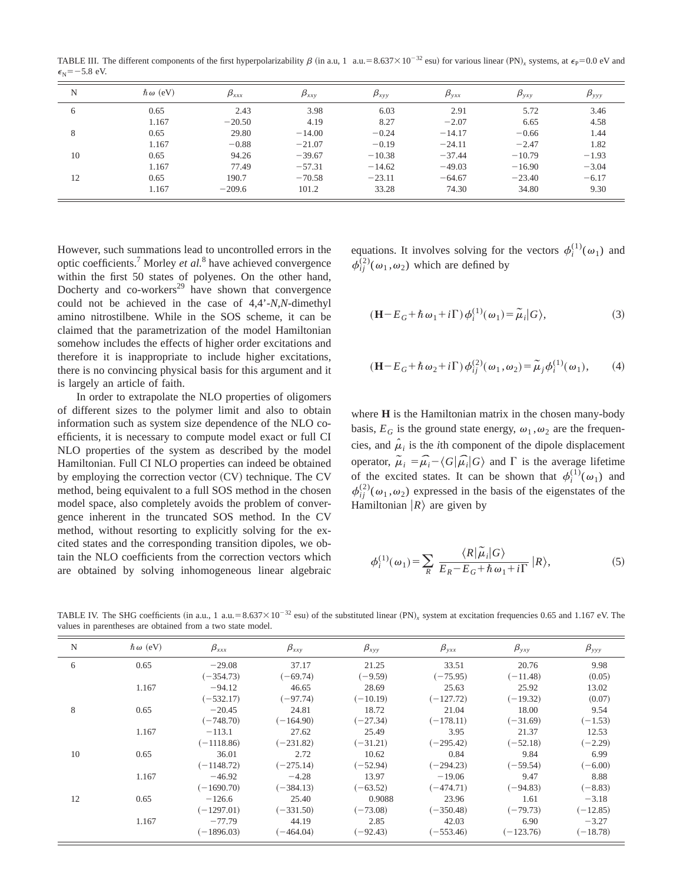TABLE III. The different components of the first hyperpolarizability  $\beta$  (in a.u, 1 a.u.=8.637×10<sup>-32</sup> esu) for various linear (PN)<sub>*x*</sub> systems, at  $\epsilon_{\rm P}$ =0.0 eV and  $\epsilon$ <sub>N</sub>=-5.8 eV.

| N  | $\hbar \omega$ (eV) | $\beta_{xxx}$ | $\beta_{xxy}$ | $\beta_{xyy}$ | $\bm{\beta}_{\text{yxx}}$ | $\pmb{\beta}_{\text{yxy}}$ | $\beta_{\rm yy}$ |
|----|---------------------|---------------|---------------|---------------|---------------------------|----------------------------|------------------|
| 6  | 0.65                | 2.43          | 3.98          | 6.03          | 2.91                      | 5.72                       | 3.46             |
|    | 1.167               | $-20.50$      | 4.19          | 8.27          | $-2.07$                   | 6.65                       | 4.58             |
| 8  | 0.65                | 29.80         | $-14.00$      | $-0.24$       | $-14.17$                  | $-0.66$                    | 1.44             |
|    | 1.167               | $-0.88$       | $-21.07$      | $-0.19$       | $-24.11$                  | $-2.47$                    | 1.82             |
| 10 | 0.65                | 94.26         | $-39.67$      | $-10.38$      | $-37.44$                  | $-10.79$                   | $-1.93$          |
|    | 1.167               | 77.49         | $-57.31$      | $-14.62$      | $-49.03$                  | $-16.90$                   | $-3.04$          |
| 12 | 0.65                | 190.7         | $-70.58$      | $-23.11$      | $-64.67$                  | $-23.40$                   | $-6.17$          |
|    | 1.167               | $-209.6$      | 101.2         | 33.28         | 74.30                     | 34.80                      | 9.30             |

However, such summations lead to uncontrolled errors in the optic coefficients.7 Morley *et al.*<sup>8</sup> have achieved convergence within the first 50 states of polyenes. On the other hand, Docherty and co-workers<sup>29</sup> have shown that convergence could not be achieved in the case of 4,4'-*N*,*N*-dimethyl amino nitrostilbene. While in the SOS scheme, it can be claimed that the parametrization of the model Hamiltonian somehow includes the effects of higher order excitations and therefore it is inappropriate to include higher excitations, there is no convincing physical basis for this argument and it is largely an article of faith.

In order to extrapolate the NLO properties of oligomers of different sizes to the polymer limit and also to obtain information such as system size dependence of the NLO coefficients, it is necessary to compute model exact or full CI NLO properties of the system as described by the model Hamiltonian. Full CI NLO properties can indeed be obtained by employing the correction vector  $(CV)$  technique. The CV method, being equivalent to a full SOS method in the chosen model space, also completely avoids the problem of convergence inherent in the truncated SOS method. In the CV method, without resorting to explicitly solving for the excited states and the corresponding transition dipoles, we obtain the NLO coefficients from the correction vectors which are obtained by solving inhomogeneous linear algebraic equations. It involves solving for the vectors  $\phi_i^{(1)}(\omega_1)$  and  $\phi_{ij}^{(2)}(\omega_1, \omega_2)$  which are defined by

$$
(\mathbf{H} - E_G + \hbar \,\omega_1 + i\Gamma) \phi_i^{(1)}(\omega_1) = \tilde{\mu}_i |G\rangle,\tag{3}
$$

$$
(\mathbf{H} - E_G + \hbar \,\omega_2 + i\Gamma) \phi_{ij}^{(2)}(\omega_1, \omega_2) = \tilde{\mu}_j \phi_i^{(1)}(\omega_1),\tag{4}
$$

where **H** is the Hamiltonian matrix in the chosen many-body basis,  $E_G$  is the ground state energy,  $\omega_1, \omega_2$  are the frequencies, and  $\hat{\mu}_i$  is the *i*th component of the dipole displacement operator,  $\tilde{\mu}_i = \hat{\mu}_i - \langle G | \hat{\mu}_i | G \rangle$  and  $\Gamma$  is the average lifetime of the excited states. It can be shown that  $\phi_i^{(1)}(\omega_1)$  and  $\phi_{ij}^{(2)}(\omega_1,\omega_2)$  expressed in the basis of the eigenstates of the Hamiltonian  $|R\rangle$  are given by

$$
\phi_i^{(1)}(\omega_1) = \sum_R \frac{\langle R|\tilde{\mu}_i|G\rangle}{E_R - E_G + \hbar \omega_1 + i\Gamma} |R\rangle, \tag{5}
$$

TABLE IV. The SHG coefficients (in a.u., 1 a.u.=8.637×10<sup>-32</sup> esu) of the substituted linear (PN), system at excitation frequencies 0.65 and 1.167 eV. The values in parentheses are obtained from a two state model.

| N  | $\hbar \omega$ (eV) | $\beta_{xxx}$ | $\beta_{xxy}$ | $\beta_{xyy}$ | $\beta_{yxx}$ | $\beta_{yxy}$ | $\beta_{\rm yy}$ |
|----|---------------------|---------------|---------------|---------------|---------------|---------------|------------------|
| 6  | 0.65                | $-29.08$      | 37.17         | 21.25         | 33.51         | 20.76         | 9.98             |
|    |                     | $(-354.73)$   | $(-69.74)$    | $(-9.59)$     | $(-75.95)$    | $(-11.48)$    | (0.05)           |
|    | 1.167               | $-94.12$      | 46.65         | 28.69         | 25.63         | 25.92         | 13.02            |
|    |                     | $(-532.17)$   | $(-97.74)$    | $(-10.19)$    | $(-127.72)$   | $(-19.32)$    | (0.07)           |
| 8  | 0.65                | $-20.45$      | 24.81         | 18.72         | 21.04         | 18.00         | 9.54             |
|    |                     | $(-748.70)$   | $(-164.90)$   | $(-27.34)$    | $(-178.11)$   | $(-31.69)$    | $(-1.53)$        |
|    | 1.167               | $-113.1$      | 27.62         | 25.49         | 3.95          | 21.37         | 12.53            |
|    |                     | $(-1118.86)$  | $(-231.82)$   | $(-31.21)$    | $(-295.42)$   | $(-52.18)$    | $(-2.29)$        |
| 10 | 0.65                | 36.01         | 2.72          | 10.62         | 0.84          | 9.84          | 6.99             |
|    |                     | $(-1148.72)$  | $(-275.14)$   | $(-52.94)$    | $(-294.23)$   | $(-59.54)$    | $(-6.00)$        |
|    | 1.167               | $-46.92$      | $-4.28$       | 13.97         | $-19.06$      | 9.47          | 8.88             |
|    |                     | $(-1690.70)$  | $(-384.13)$   | $(-63.52)$    | $(-474.71)$   | $(-94.83)$    | $(-8.83)$        |
| 12 | 0.65                | $-126.6$      | 25.40         | 0.9088        | 23.96         | 1.61          | $-3.18$          |
|    |                     | $(-1297.01)$  | $(-331.50)$   | $(-73.08)$    | $(-350.48)$   | $(-79.73)$    | $(-12.85)$       |
|    | 1.167               | $-77.79$      | 44.19         | 2.85          | 42.03         | 6.90          | $-3.27$          |
|    |                     | $(-1896.03)$  | $(-464.04)$   | $(-92.43)$    | $(-553.46)$   | $(-123.76)$   | $(-18.78)$       |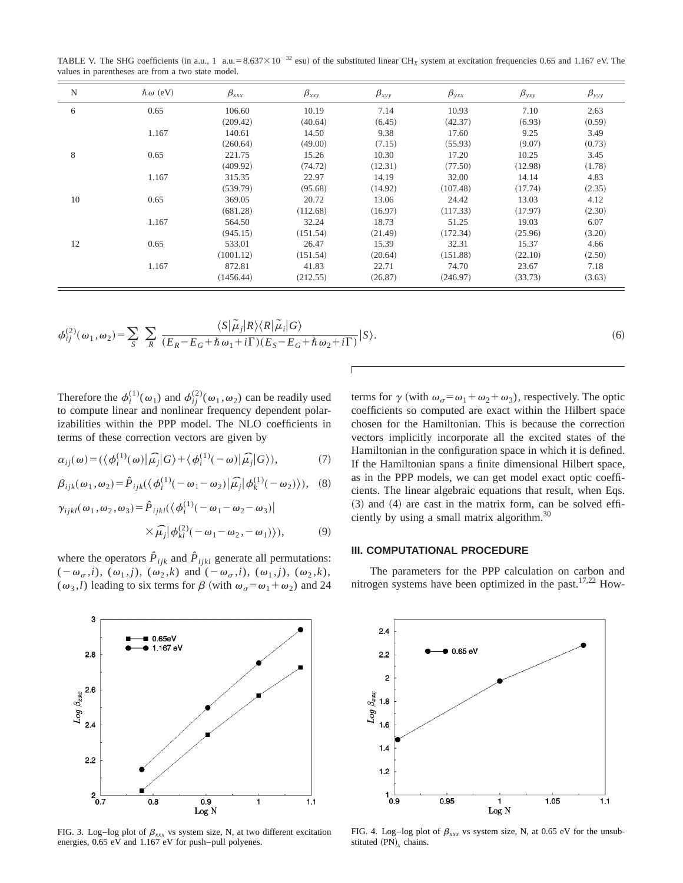TABLE V. The SHG coefficients (in a.u., 1 a.u.=8.637×10<sup>-32</sup> esu) of the substituted linear CH<sub>X</sub> system at excitation frequencies 0.65 and 1.167 eV. The values in parentheses are from a two state model.

| N  | $\hbar \omega$ (eV) | $\beta_{xxx}$ | $\beta_{xxy}$ | $\beta_{xyy}$ | $\beta_{yxx}$ | $\beta_{yxy}$ | $\beta_{\rm yy}$ |
|----|---------------------|---------------|---------------|---------------|---------------|---------------|------------------|
| 6  | 0.65                | 106.60        | 10.19         | 7.14          | 10.93         | 7.10          | 2.63             |
|    |                     | (209.42)      | (40.64)       | (6.45)        | (42.37)       | (6.93)        | (0.59)           |
|    | 1.167               | 140.61        | 14.50         | 9.38          | 17.60         | 9.25          | 3.49             |
|    |                     | (260.64)      | (49.00)       | (7.15)        | (55.93)       | (9.07)        | (0.73)           |
| 8  | 0.65                | 221.75        | 15.26         | 10.30         | 17.20         | 10.25         | 3.45             |
|    |                     | (409.92)      | (74.72)       | (12.31)       | (77.50)       | (12.98)       | (1.78)           |
|    | 1.167               | 315.35        | 22.97         | 14.19         | 32.00         | 14.14         | 4.83             |
|    |                     | (539.79)      | (95.68)       | (14.92)       | (107.48)      | (17.74)       | (2.35)           |
| 10 | 0.65                | 369.05        | 20.72         | 13.06         | 24.42         | 13.03         | 4.12             |
|    |                     | (681.28)      | (112.68)      | (16.97)       | (117.33)      | (17.97)       | (2.30)           |
|    | 1.167               | 564.50        | 32.24         | 18.73         | 51.25         | 19.03         | 6.07             |
|    |                     | (945.15)      | (151.54)      | (21.49)       | (172.34)      | (25.96)       | (3.20)           |
| 12 | 0.65                | 533.01        | 26.47         | 15.39         | 32.31         | 15.37         | 4.66             |
|    |                     | (1001.12)     | (151.54)      | (20.64)       | (151.88)      | (22.10)       | (2.50)           |
|    | 1.167               | 872.81        | 41.83         | 22.71         | 74.70         | 23.67         | 7.18             |
|    |                     | (1456.44)     | (212.55)      | (26.87)       | (246.97)      | (33.73)       | (3.63)           |

$$
\phi_{ij}^{(2)}(\omega_1, \omega_2) = \sum_{S} \sum_{R} \frac{\langle S | \tilde{\mu}_j | R \rangle \langle R | \tilde{\mu}_i | G \rangle}{(E_R - E_G + \hbar \omega_1 + i\Gamma)(E_S - E_G + \hbar \omega_2 + i\Gamma)} | S \rangle.
$$
\n(6)

Therefore the  $\phi_i^{(1)}(\omega_1)$  and  $\phi_{ij}^{(2)}(\omega_1,\omega_2)$  can be readily used to compute linear and nonlinear frequency dependent polarizabilities within the PPP model. The NLO coefficients in

terms of these correction vectors are given by  
\n
$$
\alpha_{ij}(\omega) = (\langle \phi_i^{(1)}(\omega) | \hat{\mu_j} | G \rangle + \langle \phi_i^{(1)}(-\omega) | \hat{\mu_j} | G \rangle), \tag{7}
$$

$$
\beta_{ijk}(\omega_1, \omega_2) = \hat{P}_{ijk}(\langle \phi_i^{(1)}(-\omega_1 - \omega_2)|\hat{\mu_j}|\phi_k^{(1)}(-\omega_2)\rangle), \quad (8)
$$

$$
\gamma_{ijkl}(\omega_1, \omega_2, \omega_3) = \hat{P}_{ijkl}(\langle \phi_i^{(1)}(-\omega_1 - \omega_2 - \omega_3) | \times \hat{\mu}_j | \phi_{kl}^{(2)}(-\omega_1 - \omega_2, -\omega_1) \rangle), \tag{9}
$$

where the operators  $\hat{P}_{ijk}$  and  $\hat{P}_{ijkl}$  generate all permutations:  $(-\omega_{\sigma}, i)$ ,  $(\omega_1, j)$ ,  $(\omega_2, k)$  and  $(-\omega_{\sigma}, i)$ ,  $(\omega_1, j)$ ,  $(\omega_2, k)$ ,  $(\omega_3, l)$  leading to six terms for  $\beta$  (with  $\omega_{\sigma} = \omega_1 + \omega_2$ ) and 24



FIG. 3. Log-log plot of  $\beta_{xxx}$  vs system size, N, at two different excitation energies, 0.65 eV and 1.167 eV for push–pull polyenes.

terms for  $\gamma$  (with  $\omega_{\sigma} = \omega_1 + \omega_2 + \omega_3$ ), respectively. The optic coefficients so computed are exact within the Hilbert space chosen for the Hamiltonian. This is because the correction vectors implicitly incorporate all the excited states of the Hamiltonian in the configuration space in which it is defined. If the Hamiltonian spans a finite dimensional Hilbert space, as in the PPP models, we can get model exact optic coefficients. The linear algebraic equations that result, when Eqs.  $(3)$  and  $(4)$  are cast in the matrix form, can be solved efficiently by using a small matrix algorithm.30

## **III. COMPUTATIONAL PROCEDURE**

The parameters for the PPP calculation on carbon and nitrogen systems have been optimized in the past.<sup>17,22</sup> How-



FIG. 4. Log-log plot of  $\beta_{xxx}$  vs system size, N, at 0.65 eV for the unsubstituted (PN)<sub>*x*</sub> chains.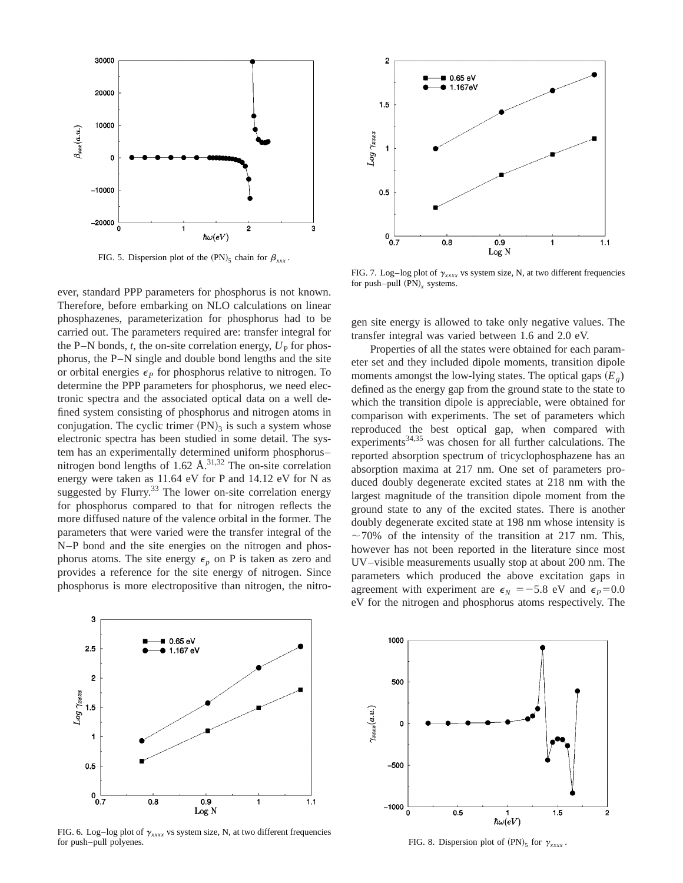

FIG. 5. Dispersion plot of the  $(PN)_5$  chain for  $\beta_{xxx}$ .

ever, standard PPP parameters for phosphorus is not known. Therefore, before embarking on NLO calculations on linear phosphazenes, parameterization for phosphorus had to be carried out. The parameters required are: transfer integral for the P–N bonds,  $t$ , the on-site correlation energy,  $U<sub>P</sub>$  for phosphorus, the P–N single and double bond lengths and the site or orbital energies  $\epsilon_p$  for phosphorus relative to nitrogen. To determine the PPP parameters for phosphorus, we need electronic spectra and the associated optical data on a well defined system consisting of phosphorus and nitrogen atoms in conjugation. The cyclic trimer  $(PN)_3$  is such a system whose electronic spectra has been studied in some detail. The system has an experimentally determined uniform phosphorus– nitrogen bond lengths of  $1.62 \text{ Å}^{31,32}$  The on-site correlation energy were taken as 11.64 eV for P and 14.12 eV for N as suggested by Flurry.<sup>33</sup> The lower on-site correlation energy for phosphorus compared to that for nitrogen reflects the more diffused nature of the valence orbital in the former. The parameters that were varied were the transfer integral of the N–P bond and the site energies on the nitrogen and phosphorus atoms. The site energy  $\epsilon_p$  on P is taken as zero and provides a reference for the site energy of nitrogen. Since phosphorus is more electropositive than nitrogen, the nitro-



FIG. 7. Log–log plot of  $\gamma_{xxxx}$  vs system size, N, at two different frequencies for push–pull  $(PN)_x$  systems.

gen site energy is allowed to take only negative values. The transfer integral was varied between 1.6 and 2.0 eV.

Properties of all the states were obtained for each parameter set and they included dipole moments, transition dipole moments amongst the low-lying states. The optical gaps  $(E_g)$ defined as the energy gap from the ground state to the state to which the transition dipole is appreciable, were obtained for comparison with experiments. The set of parameters which reproduced the best optical gap, when compared with experiments<sup>34,35</sup> was chosen for all further calculations. The reported absorption spectrum of tricyclophosphazene has an absorption maxima at 217 nm. One set of parameters produced doubly degenerate excited states at 218 nm with the largest magnitude of the transition dipole moment from the ground state to any of the excited states. There is another doubly degenerate excited state at 198 nm whose intensity is  $\sim$  70% of the intensity of the transition at 217 nm. This, however has not been reported in the literature since most UV–visible measurements usually stop at about 200 nm. The parameters which produced the above excitation gaps in agreement with experiment are  $\epsilon_N = -5.8$  eV and  $\epsilon_P = 0.0$ eV for the nitrogen and phosphorus atoms respectively. The



FIG. 6. Log-log plot of  $\gamma_{xxxx}$  vs system size, N, at two different frequencies for push–pull polyenes.



FIG. 8. Dispersion plot of  $(PN)_5$  for  $\gamma_{xxxx}$ .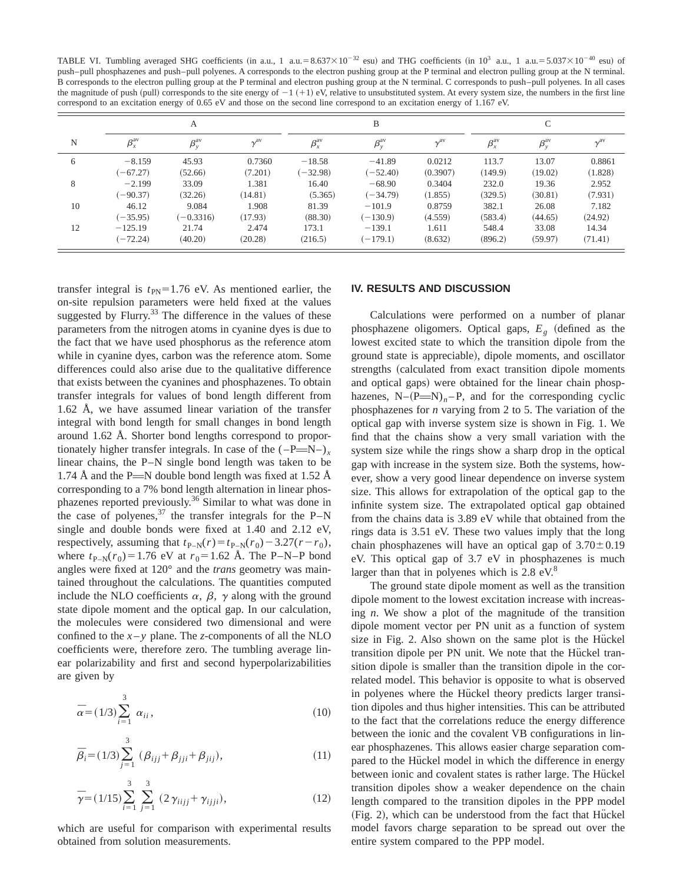TABLE VI. Tumbling averaged SHG coefficients (in a.u., 1 a.u.=8.637×10<sup>-32</sup> esu) and THG coefficients (in 10<sup>3</sup> a.u., 1 a.u.=5.037×10<sup>-40</sup> esu) of push–pull phosphazenes and push–pull polyenes. A corresponds to the electron pushing group at the P terminal and electron pulling group at the N terminal. B corresponds to the electron pulling group at the P terminal and electron pushing group at the N terminal. C corresponds to push–pull polyenes. In all cases the magnitude of push (pull) corresponds to the site energy of  $-1$  (+1) eV, relative to unsubstituted system. At every system size, the numbers in the first line correspond to an excitation energy of 0.65 eV and those on the second line correspond to an excitation energy of 1.167 eV.

|    | А              |                         |                        |                | B                       |                   |                | C                       |          |  |
|----|----------------|-------------------------|------------------------|----------------|-------------------------|-------------------|----------------|-------------------------|----------|--|
| N  | $\beta_x^{av}$ | $\beta_{v}^{\text{av}}$ | $\gamma^{\mathrm{av}}$ | $\beta_x^{av}$ | $\beta_{y}^{\text{av}}$ | $\gamma^{\rm av}$ | $\beta_x^{av}$ | $\beta_{v}^{\text{av}}$ | $v^{av}$ |  |
| 6  | $-8.159$       | 45.93                   | 0.7360                 | $-18.58$       | $-41.89$                | 0.0212            | 113.7          | 13.07                   | 0.8861   |  |
|    | $(-67.27)$     | (52.66)                 | (7.201)                | $(-32.98)$     | $(-52.40)$              | (0.3907)          | (149.9)        | (19.02)                 | (1.828)  |  |
| 8  | $-2.199$       | 33.09                   | 1.381                  | 16.40          | $-68.90$                | 0.3404            | 232.0          | 19.36                   | 2.952    |  |
|    | $(-90.37)$     | (32.26)                 | (14.81)                | (5.365)        | $(-34.79)$              | (1.855)           | (329.5)        | (30.81)                 | (7.931)  |  |
| 10 | 46.12          | 9.084                   | 1.908                  | 81.39          | $-101.9$                | 0.8759            | 382.1          | 26.08                   | 7.182    |  |
|    | $(-35.95)$     | $(-0.3316)$             | (17.93)                | (88.30)        | $(-130.9)$              | (4.559)           | (583.4)        | (44.65)                 | (24.92)  |  |
| 12 | $-125.19$      | 21.74                   | 2.474                  | 173.1          | $-139.1$                | 1.611             | 548.4          | 33.08                   | 14.34    |  |
|    | $(-72.24)$     | (40.20)                 | (20.28)                | (216.5)        | $(-179.1)$              | (8.632)           | (896.2)        | (59.97)                 | (71.41)  |  |

transfer integral is  $t_{PN}$ =1.76 eV. As mentioned earlier, the on-site repulsion parameters were held fixed at the values suggested by Flurry. $33$  The difference in the values of these parameters from the nitrogen atoms in cyanine dyes is due to the fact that we have used phosphorus as the reference atom while in cyanine dyes, carbon was the reference atom. Some differences could also arise due to the qualitative difference that exists between the cyanines and phosphazenes. To obtain transfer integrals for values of bond length different from 1.62 Å, we have assumed linear variation of the transfer integral with bond length for small changes in bond length around 1.62 Å. Shorter bond lengths correspond to proportionately higher transfer integrals. In case of the  $(-P= N-)$ , linear chains, the P–N single bond length was taken to be 1.74 Å and the P $\equiv$ N double bond length was fixed at 1.52 Å corresponding to a 7% bond length alternation in linear phosphazenes reported previously.<sup>36</sup> Similar to what was done in the case of polyenes,  $37$  the transfer integrals for the P–N single and double bonds were fixed at 1.40 and 2.12 eV, respectively, assuming that  $t_{P-N}(r) = t_{P-N}(r_0) - 3.27(r - r_0)$ , where  $t_{P-N}(r_0) = 1.76$  eV at  $r_0 = 1.62$  Å. The P–N–P bond angles were fixed at 120° and the *trans* geometry was maintained throughout the calculations. The quantities computed include the NLO coefficients  $\alpha$ ,  $\beta$ ,  $\gamma$  along with the ground state dipole moment and the optical gap. In our calculation, the molecules were considered two dimensional and were confined to the  $x - y$  plane. The *z*-components of all the NLO coefficients were, therefore zero. The tumbling average linear polarizability and first and second hyperpolarizabilities are given by

$$
\bar{\alpha} = (1/3) \sum_{i=1}^{3} \alpha_{ii}, \qquad (10)
$$

$$
\bar{\beta}_i = (1/3) \sum_{j=1}^3 (\beta_{ijj} + \beta_{jji} + \beta_{jij}),
$$
\n(11)

$$
\overline{\gamma} = (1/15) \sum_{i=1}^{3} \sum_{j=1}^{3} (2 \gamma_{iijj} + \gamma_{ijji}), \qquad (12)
$$

which are useful for comparison with experimental results obtained from solution measurements.

#### **IV. RESULTS AND DISCUSSION**

Calculations were performed on a number of planar phosphazene oligomers. Optical gaps,  $E_g$  (defined as the lowest excited state to which the transition dipole from the ground state is appreciable), dipole moments, and oscillator strengths (calculated from exact transition dipole moments and optical gaps) were obtained for the linear chain phosphazenes,  $N-(P= N)_n-P$ , and for the corresponding cyclic phosphazenes for *n* varying from 2 to 5. The variation of the optical gap with inverse system size is shown in Fig. 1. We find that the chains show a very small variation with the system size while the rings show a sharp drop in the optical gap with increase in the system size. Both the systems, however, show a very good linear dependence on inverse system size. This allows for extrapolation of the optical gap to the infinite system size. The extrapolated optical gap obtained from the chains data is 3.89 eV while that obtained from the rings data is 3.51 eV. These two values imply that the long chain phosphazenes will have an optical gap of  $3.70 \pm 0.19$ eV. This optical gap of 3.7 eV in phosphazenes is much larger than that in polyenes which is  $2.8 \text{ eV}^8$ .

The ground state dipole moment as well as the transition dipole moment to the lowest excitation increase with increasing *n*. We show a plot of the magnitude of the transition dipole moment vector per PN unit as a function of system size in Fig. 2. Also shown on the same plot is the Hückel transition dipole per PN unit. We note that the Hückel transition dipole is smaller than the transition dipole in the correlated model. This behavior is opposite to what is observed in polyenes where the Hückel theory predicts larger transition dipoles and thus higher intensities. This can be attributed to the fact that the correlations reduce the energy difference between the ionic and the covalent VB configurations in linear phosphazenes. This allows easier charge separation compared to the Hückel model in which the difference in energy between ionic and covalent states is rather large. The Hückel transition dipoles show a weaker dependence on the chain length compared to the transition dipoles in the PPP model (Fig. 2), which can be understood from the fact that Hückel model favors charge separation to be spread out over the entire system compared to the PPP model.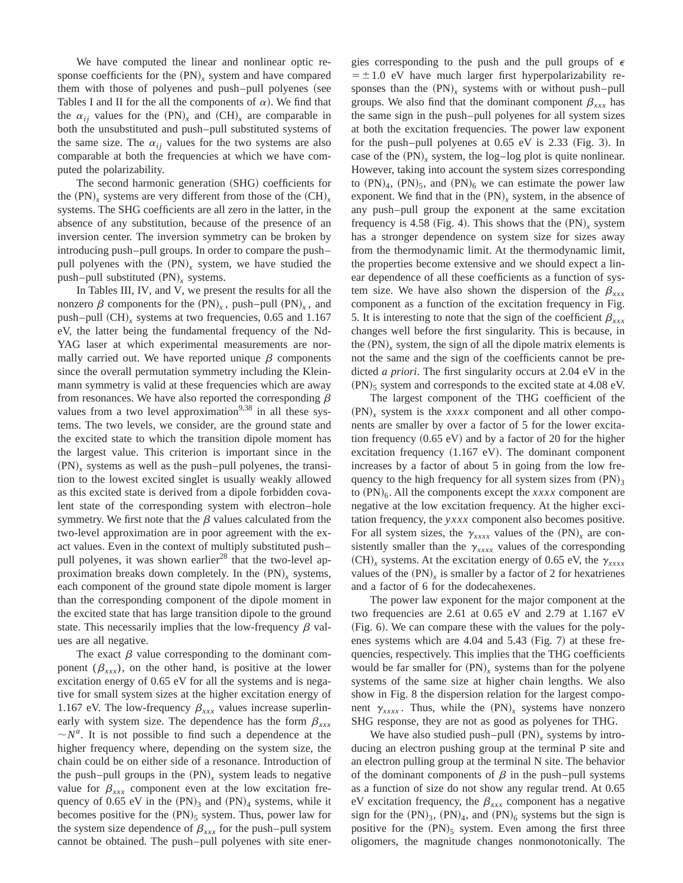We have computed the linear and nonlinear optic response coefficients for the  $(PN)_x$  system and have compared them with those of polyenes and push–pull polyenes (see Tables I and II for the all the components of  $\alpha$ ). We find that the  $\alpha_{ij}$  values for the  $(PN)_x$  and  $(CH)_x$  are comparable in both the unsubstituted and push–pull substituted systems of the same size. The  $\alpha_{ij}$  values for the two systems are also comparable at both the frequencies at which we have computed the polarizability.

The second harmonic generation (SHG) coefficients for the  $(PN)$ <sub>x</sub> systems are very different from those of the  $(CH)$ <sub>x</sub> systems. The SHG coefficients are all zero in the latter, in the absence of any substitution, because of the presence of an inversion center. The inversion symmetry can be broken by introducing push–pull groups. In order to compare the push– pull polyenes with the  $(PN)_x$  system, we have studied the push–pull substituted  $(PN)_x$  systems.

In Tables III, IV, and V, we present the results for all the nonzero  $\beta$  components for the  $(PN)_x$ , push–pull  $(PN)_x$ , and push–pull  $(CH)_{x}$  systems at two frequencies, 0.65 and 1.167 eV, the latter being the fundamental frequency of the Nd-YAG laser at which experimental measurements are normally carried out. We have reported unique  $\beta$  components since the overall permutation symmetry including the Kleinmann symmetry is valid at these frequencies which are away from resonances. We have also reported the corresponding  $\beta$ values from a two level approximation<sup>9,38</sup> in all these systems. The two levels, we consider, are the ground state and the excited state to which the transition dipole moment has the largest value. This criterion is important since in the  $(PN)_x$  systems as well as the push–pull polyenes, the transition to the lowest excited singlet is usually weakly allowed as this excited state is derived from a dipole forbidden covalent state of the corresponding system with electron–hole symmetry. We first note that the  $\beta$  values calculated from the two-level approximation are in poor agreement with the exact values. Even in the context of multiply substituted push– pull polyenes, it was shown earlier<sup>28</sup> that the two-level approximation breaks down completely. In the  $(PN)$ , systems, each component of the ground state dipole moment is larger than the corresponding component of the dipole moment in the excited state that has large transition dipole to the ground state. This necessarily implies that the low-frequency  $\beta$  values are all negative.

The exact  $\beta$  value corresponding to the dominant component  $(\beta_{xxx})$ , on the other hand, is positive at the lower excitation energy of 0.65 eV for all the systems and is negative for small system sizes at the higher excitation energy of 1.167 eV. The low-frequency  $\beta_{xxx}$  values increase superlinearly with system size. The dependence has the form  $\beta_{xxx}$  $\sim N^a$ . It is not possible to find such a dependence at the higher frequency where, depending on the system size, the chain could be on either side of a resonance. Introduction of the push–pull groups in the  $(PN)$ <sub>x</sub> system leads to negative value for  $\beta_{xxx}$  component even at the low excitation frequency of 0.65 eV in the  $(PN)_3$  and  $(PN)_4$  systems, while it becomes positive for the  $(PN)_5$  system. Thus, power law for the system size dependence of  $\beta_{xxx}$  for the push–pull system cannot be obtained. The push–pull polyenes with site energies corresponding to the push and the pull groups of  $\epsilon$  $=$   $\pm$  1.0 eV have much larger first hyperpolarizability responses than the  $(PN)_x$  systems with or without push–pull groups. We also find that the dominant component  $\beta_{xxx}$  has the same sign in the push–pull polyenes for all system sizes at both the excitation frequencies. The power law exponent for the push–pull polyenes at  $0.65$  eV is  $2.33$  (Fig. 3). In case of the  $(PN)$ <sub>x</sub> system, the log–log plot is quite nonlinear. However, taking into account the system sizes corresponding to  $(PN)_4$ ,  $(PN)_5$ , and  $(PN)_6$  we can estimate the power law exponent. We find that in the  $(PN)_x$  system, in the absence of any push–pull group the exponent at the same excitation frequency is 4.58 (Fig. 4). This shows that the  $(PN)$ <sub>*x*</sub> system has a stronger dependence on system size for sizes away from the thermodynamic limit. At the thermodynamic limit, the properties become extensive and we should expect a linear dependence of all these coefficients as a function of system size. We have also shown the dispersion of the  $\beta_{xx}$ component as a function of the excitation frequency in Fig. 5. It is interesting to note that the sign of the coefficient  $\beta_{xxx}$ changes well before the first singularity. This is because, in the  $(PN)$ , system, the sign of all the dipole matrix elements is not the same and the sign of the coefficients cannot be predicted *a priori*. The first singularity occurs at 2.04 eV in the  $(PN)$ <sub>5</sub> system and corresponds to the excited state at 4.08 eV.

The largest component of the THG coefficient of the  $(PN)$ , system is the *xxxx* component and all other components are smaller by over a factor of 5 for the lower excitation frequency  $(0.65 \text{ eV})$  and by a factor of 20 for the higher excitation frequency  $(1.167 \text{ eV})$ . The dominant component increases by a factor of about 5 in going from the low frequency to the high frequency for all system sizes from  $(PN)$ <sub>3</sub> to  $(PN)_6$ . All the components except the *xxxx* component are negative at the low excitation frequency. At the higher excitation frequency, the *yxxx* component also becomes positive. For all system sizes, the  $\gamma_{xxxx}$  values of the  $(PN)_x$  are consistently smaller than the  $\gamma_{xxxx}$  values of the corresponding  $(CH)_x$  systems. At the excitation energy of 0.65 eV, the  $\gamma_{xxxx}$ values of the  $(PN)$ <sub>r</sub> is smaller by a factor of 2 for hexatrienes and a factor of 6 for the dodecahexenes.

The power law exponent for the major component at the two frequencies are 2.61 at 0.65 eV and 2.79 at 1.167 eV (Fig. 6). We can compare these with the values for the polyenes systems which are  $4.04$  and  $5.43$  (Fig. 7) at these frequencies, respectively. This implies that the THG coefficients would be far smaller for  $(PN)$ <sub>x</sub> systems than for the polyene systems of the same size at higher chain lengths. We also show in Fig. 8 the dispersion relation for the largest component  $\gamma_{xxx}$ . Thus, while the  $(PN)_x$  systems have nonzero SHG response, they are not as good as polyenes for THG.

We have also studied push–pull  $(PN)$ <sub>x</sub> systems by introducing an electron pushing group at the terminal P site and an electron pulling group at the terminal N site. The behavior of the dominant components of  $\beta$  in the push–pull systems as a function of size do not show any regular trend. At 0.65 eV excitation frequency, the  $\beta_{xxx}$  component has a negative sign for the  $(PN)_3$ ,  $(PN)_4$ , and  $(PN)_6$  systems but the sign is positive for the  $(PN)_5$  system. Even among the first three oligomers, the magnitude changes nonmonotonically. The